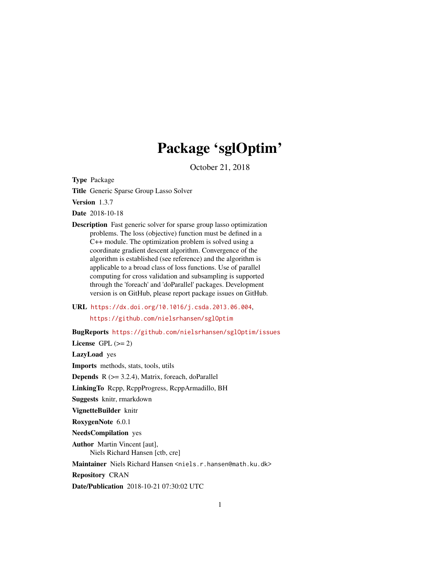# Package 'sglOptim'

October 21, 2018

Type Package

Title Generic Sparse Group Lasso Solver

Version 1.3.7

Date 2018-10-18

- Description Fast generic solver for sparse group lasso optimization problems. The loss (objective) function must be defined in a C++ module. The optimization problem is solved using a coordinate gradient descent algorithm. Convergence of the algorithm is established (see reference) and the algorithm is applicable to a broad class of loss functions. Use of parallel computing for cross validation and subsampling is supported through the 'foreach' and 'doParallel' packages. Development version is on GitHub, please report package issues on GitHub.
- URL <https://dx.doi.org/10.1016/j.csda.2013.06.004>, <https://github.com/nielsrhansen/sglOptim>

BugReports <https://github.com/nielsrhansen/sglOptim/issues>

License GPL  $(>= 2)$ 

LazyLoad yes

Imports methods, stats, tools, utils

**Depends**  $R$  ( $>= 3.2.4$ ), Matrix, foreach, doParallel

LinkingTo Rcpp, RcppProgress, RcppArmadillo, BH

Suggests knitr, rmarkdown

VignetteBuilder knitr

RoxygenNote 6.0.1

NeedsCompilation yes

Author Martin Vincent [aut],

Niels Richard Hansen [ctb, cre]

Maintainer Niels Richard Hansen <niels.r.hansen@math.ku.dk>

Repository CRAN

Date/Publication 2018-10-21 07:30:02 UTC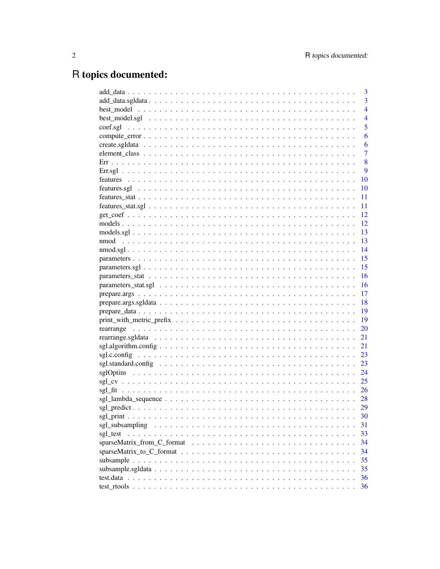## R topics documented:

|      | 3              |
|------|----------------|
|      | $\overline{3}$ |
|      | $\overline{4}$ |
|      | $\overline{4}$ |
|      | 5              |
|      | 6              |
|      | 6              |
|      | $\overline{7}$ |
|      | 8              |
|      | 9              |
|      | 10             |
|      | 10             |
|      | 11             |
|      | 11             |
|      | 12             |
|      | 12             |
|      | 13             |
| nmod | 13             |
|      | 14             |
|      | 15             |
|      | 15             |
|      | 16             |
|      | 16             |
|      | 17             |
|      | 18             |
|      | 19             |
|      | 19             |
|      | 20             |
|      | 21             |
|      | 21             |
|      | 23             |
|      | 23             |
|      | 24             |
|      | 25             |
|      | 26             |
|      |                |
|      | 29             |
|      | 30             |
|      | 31             |
|      | 33             |
|      | 34             |
|      | 34             |
|      | 35             |
|      | 35             |
|      | 36             |
|      | 36             |
|      |                |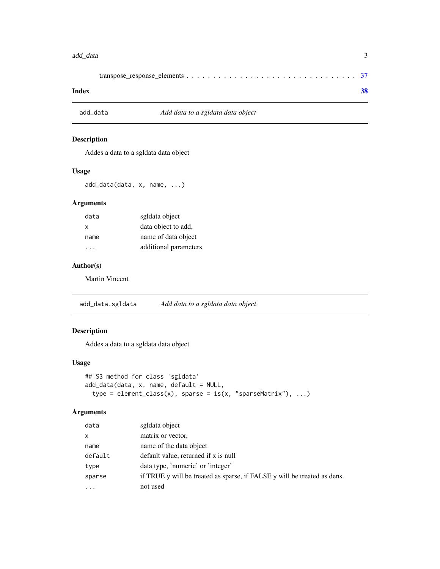#### <span id="page-2-0"></span>add\_data 3

|--|--|--|

#### **Index** [38](#page-37-0)

## add\_data *Add data to a sgldata data object*

#### Description

Addes a data to a sgldata data object

#### Usage

add\_data(data, x, name, ...)

#### Arguments

| data | sgldata object        |
|------|-----------------------|
| x    | data object to add,   |
| name | name of data object   |
|      | additional parameters |

## Author(s)

Martin Vincent

<span id="page-2-1"></span>add\_data.sgldata *Add data to a sgldata data object*

## Description

Addes a data to a sgldata data object

#### Usage

```
## S3 method for class 'sgldata'
add_data(data, x, name, default = NULL,
  type = element\_class(x), sparse = is(x, "sparseMatrix"), ...)
```

| data    | sgldata object                                                           |
|---------|--------------------------------------------------------------------------|
| X       | matrix or vector,                                                        |
| name    | name of the data object                                                  |
| default | default value, returned if x is null                                     |
| type    | data type, 'numeric' or 'integer'                                        |
| sparse  | if TRUE y will be treated as sparse, if FALSE y will be treated as dens. |
| $\cdot$ | not used                                                                 |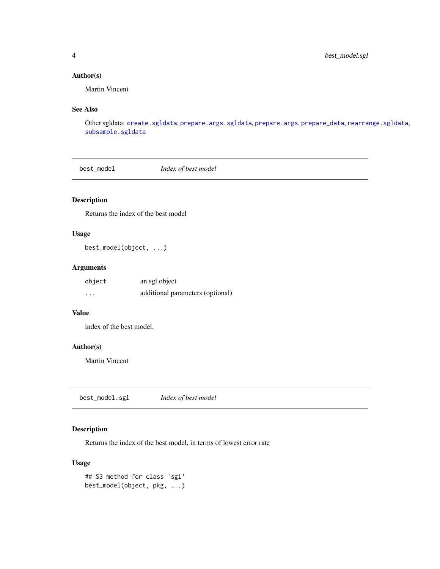## <span id="page-3-0"></span>Author(s)

Martin Vincent

## See Also

Other sgldata: [create.sgldata](#page-5-1), [prepare.args.sgldata](#page-17-1), [prepare.args](#page-16-1), [prepare\\_data](#page-18-1), [rearrange.sgldata](#page-20-1), [subsample.sgldata](#page-34-1)

best\_model *Index of best model*

## Description

Returns the index of the best model

#### Usage

best\_model(object, ...)

#### Arguments

| object | an sgl object                    |
|--------|----------------------------------|
| .      | additional parameters (optional) |

#### Value

index of the best model.

#### Author(s)

Martin Vincent

best\_model.sgl *Index of best model*

#### Description

Returns the index of the best model, in terms of lowest error rate

#### Usage

```
## S3 method for class 'sgl'
best_model(object, pkg, ...)
```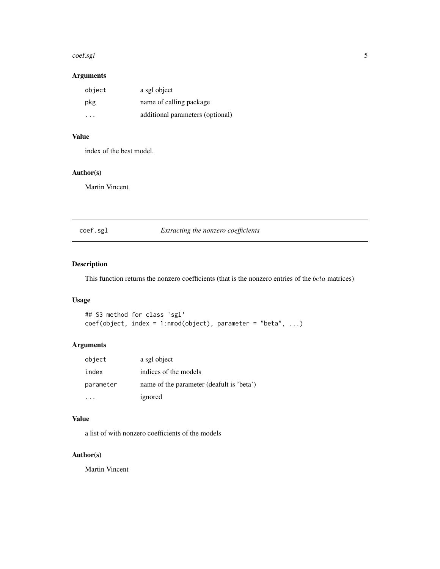#### <span id="page-4-0"></span>coef.sgl 5

## Arguments

| object | a sgl object                     |
|--------|----------------------------------|
| pkg    | name of calling package          |
| .      | additional parameters (optional) |

#### Value

index of the best model.

## Author(s)

Martin Vincent

coef.sgl *Extracting the nonzero coefficients*

#### Description

This function returns the nonzero coefficients (that is the nonzero entries of the beta matrices)

## Usage

```
## S3 method for class 'sgl'
coef(object, index = 1:nmod(object), parameter = "beta", ...)
```
#### Arguments

| object    | a sgl object                              |
|-----------|-------------------------------------------|
| index     | indices of the models                     |
| parameter | name of the parameter (deafult is 'beta') |
|           | ignored                                   |

#### Value

a list of with nonzero coefficients of the models

#### Author(s)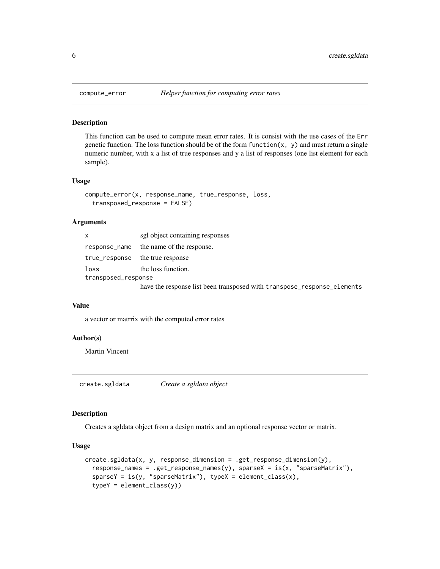This function can be used to compute mean error rates. It is consist with the use cases of the Err genetic function. The loss function should be of the form function $(x, y)$  and must return a single numeric number, with x a list of true responses and y a list of responses (one list element for each sample).

#### Usage

```
compute_error(x, response_name, true_response, loss,
  transposed_response = FALSE)
```
#### Arguments

| x                   | sgl object containing responses                                         |
|---------------------|-------------------------------------------------------------------------|
| response_name       | the name of the response.                                               |
| true_response       | the true response                                                       |
| loss                | the loss function.                                                      |
| transposed_response |                                                                         |
|                     | have the response list been transposed with transpose_response_elements |

#### Value

a vector or matrrix with the computed error rates

#### Author(s)

Martin Vincent

<span id="page-5-1"></span>create.sgldata *Create a sgldata object*

#### Description

Creates a sgldata object from a design matrix and an optional response vector or matrix.

#### Usage

```
create.sgldata(x, y, response_dimension = .get_response_dimension(y),
  response_names = .get_response_names(y), sparseX = is(x, "sparseMatrix"),
  sparseY = is(y, "sparseMatrix"), typeX = element_class(x),typeY = element_class(y))
```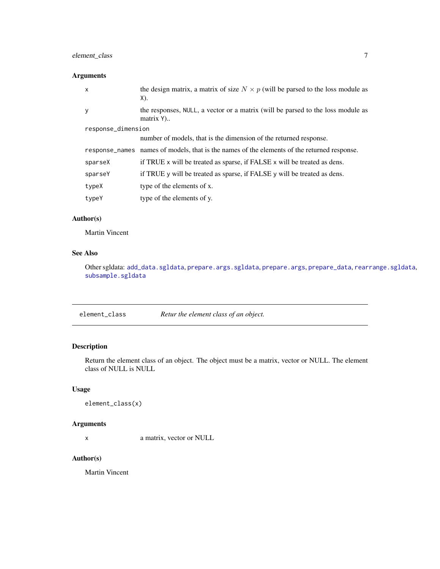## <span id="page-6-0"></span>element\_class 7

## Arguments

| the design matrix, a matrix of size $N \times p$ (will be parsed to the loss module as<br>X). |  |  |
|-----------------------------------------------------------------------------------------------|--|--|
| the responses, NULL, a vector or a matrix (will be parsed to the loss module as<br>matrix Y)  |  |  |
| response_dimension                                                                            |  |  |
| number of models, that is the dimension of the returned response.                             |  |  |
| response names names of models, that is the names of the elements of the returned response.   |  |  |
| if TRUE x will be treated as sparse, if FALSE x will be treated as dens.                      |  |  |
| if TRUE y will be treated as sparse, if FALSE y will be treated as dens.                      |  |  |
| type of the elements of x.                                                                    |  |  |
| type of the elements of y.                                                                    |  |  |
|                                                                                               |  |  |

#### Author(s)

Martin Vincent

## See Also

Other sgldata: [add\\_data.sgldata](#page-2-1), [prepare.args.sgldata](#page-17-1), [prepare.args](#page-16-1), [prepare\\_data](#page-18-1), [rearrange.sgldata](#page-20-1), [subsample.sgldata](#page-34-1)

element\_class *Retur the element class of an object.*

#### Description

Return the element class of an object. The object must be a matrix, vector or NULL. The element class of NULL is NULL

#### Usage

```
element_class(x)
```
#### Arguments

x a matrix, vector or NULL

## Author(s)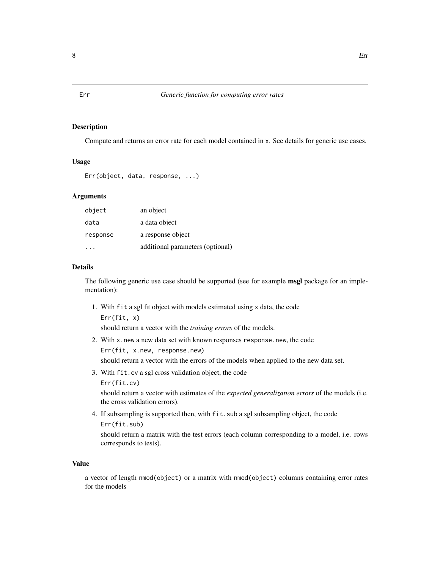Compute and returns an error rate for each model contained in x. See details for generic use cases.

#### Usage

```
Err(object, data, response, ...)
```
#### Arguments

| object   | an object                        |
|----------|----------------------------------|
| data     | a data object                    |
| response | a response object                |
|          | additional parameters (optional) |

#### Details

The following generic use case should be supported (see for example **msgl** package for an implementation):

1. With fit a sgl fit object with models estimated using x data, the code Err(fit, x)

should return a vector with the *training errors* of the models.

2. With x.new a new data set with known responses response.new, the code

Err(fit, x.new, response.new)

should return a vector with the errors of the models when applied to the new data set.

3. With fit.cv a sgl cross validation object, the code

Err(fit.cv)

should return a vector with estimates of the *expected generalization errors* of the models (i.e. the cross validation errors).

4. If subsampling is supported then, with fit.sub a sgl subsampling object, the code Err(fit.sub)

should return a matrix with the test errors (each column corresponding to a model, i.e. rows corresponds to tests).

#### Value

a vector of length nmod(object) or a matrix with nmod(object) columns containing error rates for the models

<span id="page-7-0"></span>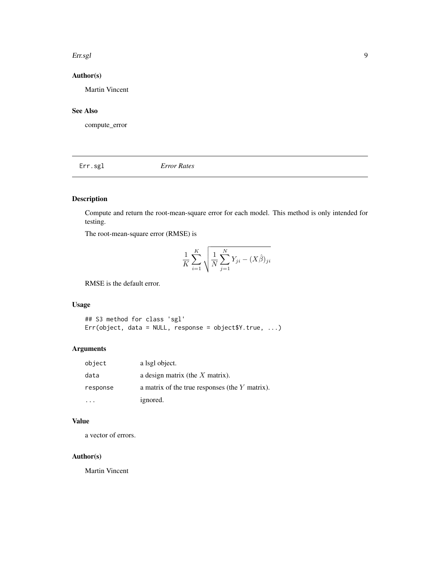#### <span id="page-8-0"></span>Err.sgl 9

## Author(s)

Martin Vincent

## See Also

compute\_error

Err.sgl *Error Rates*

## Description

Compute and return the root-mean-square error for each model. This method is only intended for testing.

The root-mean-square error (RMSE) is

$$
\frac{1}{K} \sum_{i=1}^{K} \sqrt{\frac{1}{N} \sum_{j=1}^{N} Y_{ji} - (X\hat{\beta})_{ji}}
$$

RMSE is the default error.

## Usage

## S3 method for class 'sgl' Err(object, data = NULL, response = object\$Y.true, ...)

#### Arguments

| object   | a lsgl object.                                   |
|----------|--------------------------------------------------|
| data     | a design matrix (the $X$ matrix).                |
| response | a matrix of the true responses (the $Y$ matrix). |
|          | ignored.                                         |

#### Value

a vector of errors.

#### Author(s)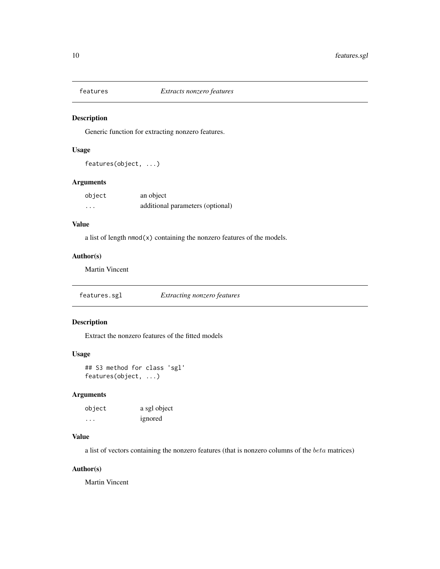<span id="page-9-0"></span>

Generic function for extracting nonzero features.

### Usage

features(object, ...)

#### Arguments

| object   | an object                        |
|----------|----------------------------------|
| $\cdots$ | additional parameters (optional) |

#### Value

a list of length nmod(x) containing the nonzero features of the models.

#### Author(s)

Martin Vincent

features.sgl *Extracting nonzero features*

#### Description

Extract the nonzero features of the fitted models

#### Usage

## S3 method for class 'sgl' features(object, ...)

#### Arguments

| object | a sgl object |
|--------|--------------|
| .      | ignored      |

#### Value

a list of vectors containing the nonzero features (that is nonzero columns of the beta matrices)

#### Author(s)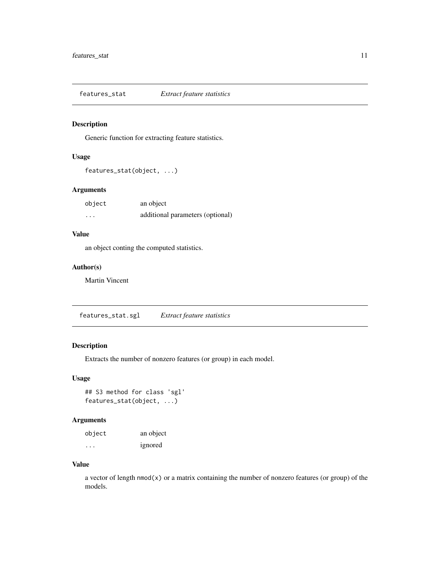<span id="page-10-0"></span>features\_stat *Extract feature statistics*

#### Description

Generic function for extracting feature statistics.

#### Usage

```
features_stat(object, ...)
```
### Arguments

| object | an object                        |
|--------|----------------------------------|
| .      | additional parameters (optional) |

## Value

an object conting the computed statistics.

#### Author(s)

Martin Vincent

features\_stat.sgl *Extract feature statistics*

### Description

Extracts the number of nonzero features (or group) in each model.

#### Usage

```
## S3 method for class 'sgl'
features_stat(object, ...)
```
#### Arguments

| object  | an object |
|---------|-----------|
| $\cdot$ | ignored   |

#### Value

a vector of length nmod(x) or a matrix containing the number of nonzero features (or group) of the models.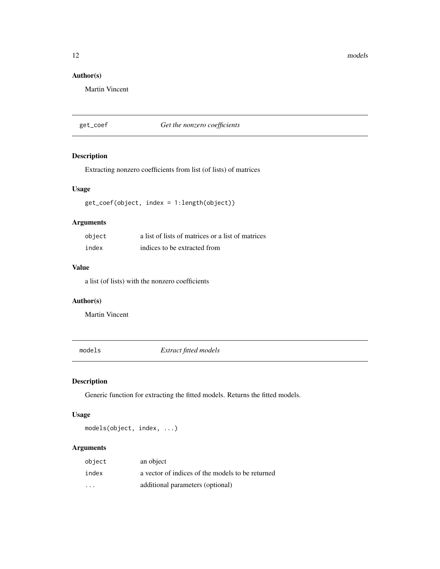12 models

## Author(s)

Martin Vincent

#### get\_coef *Get the nonzero coefficients*

#### Description

Extracting nonzero coefficients from list (of lists) of matrices

#### Usage

get\_coef(object, index = 1:length(object))

## Arguments

| object | a list of lists of matrices or a list of matrices |
|--------|---------------------------------------------------|
| index  | indices to be extracted from                      |

#### Value

a list (of lists) with the nonzero coefficients

## Author(s)

Martin Vincent

models *Extract fitted models*

#### Description

Generic function for extracting the fitted models. Returns the fitted models.

## Usage

models(object, index, ...)

| object                  | an object                                        |
|-------------------------|--------------------------------------------------|
| index                   | a vector of indices of the models to be returned |
| $\cdot$ $\cdot$ $\cdot$ | additional parameters (optional)                 |

<span id="page-11-0"></span>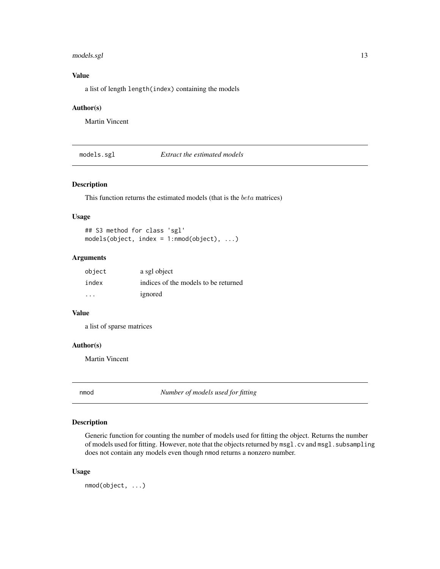#### <span id="page-12-0"></span>models.sgl 13

## Value

a list of length length(index) containing the models

#### Author(s)

Martin Vincent

models.sgl *Extract the estimated models*

#### Description

This function returns the estimated models (that is the beta matrices)

#### Usage

## S3 method for class 'sgl' models(object, index = 1:nmod(object), ...)

#### Arguments

| object  | a sgl object                         |
|---------|--------------------------------------|
| index   | indices of the models to be returned |
| $\cdot$ | ignored                              |

#### Value

a list of sparse matrices

#### Author(s)

Martin Vincent

nmod *Number of models used for fitting*

#### Description

Generic function for counting the number of models used for fitting the object. Returns the number of models used for fitting. However, note that the objects returned by msgl.cv and msgl.subsampling does not contain any models even though nmod returns a nonzero number.

#### Usage

nmod(object, ...)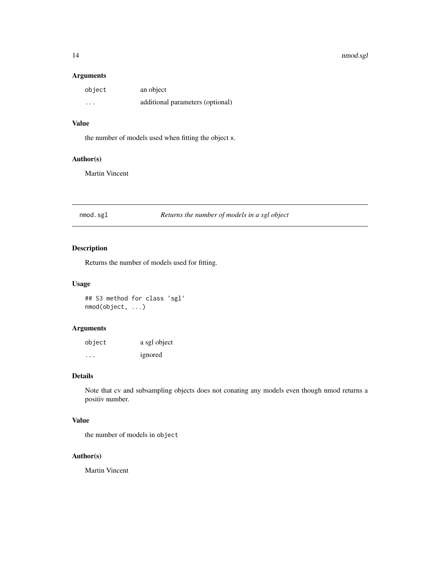#### 14 nmod.sgl

#### Arguments

| object  | an object                        |
|---------|----------------------------------|
| $\cdot$ | additional parameters (optional) |

#### Value

the number of models used when fitting the object x.

#### Author(s)

Martin Vincent

nmod.sgl *Returns the number of models in a sgl object*

#### Description

Returns the number of models used for fitting.

#### Usage

## S3 method for class 'sgl' nmod(object, ...)

#### Arguments

| object  | a sgl object |
|---------|--------------|
| $\cdot$ | ignored      |

#### Details

Note that cv and subsampling objects does not conating any models even though nmod returns a positiv number.

#### Value

the number of models in object

#### Author(s)

<span id="page-13-0"></span>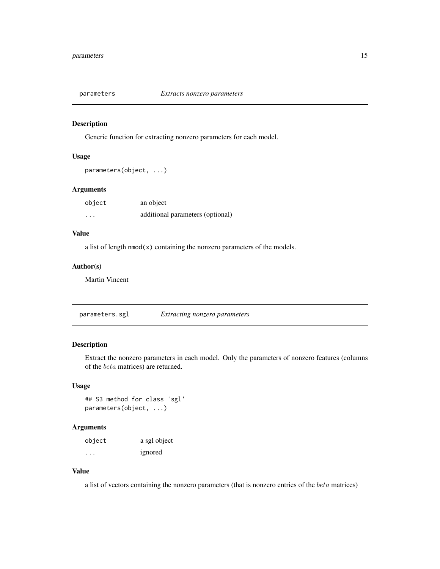<span id="page-14-0"></span>

Generic function for extracting nonzero parameters for each model.

#### Usage

```
parameters(object, ...)
```
#### Arguments

| object | an object                        |
|--------|----------------------------------|
| .      | additional parameters (optional) |

#### Value

a list of length nmod(x) containing the nonzero parameters of the models.

#### Author(s)

Martin Vincent

parameters.sgl *Extracting nonzero parameters*

#### Description

Extract the nonzero parameters in each model. Only the parameters of nonzero features (columns of the beta matrices) are returned.

#### Usage

## S3 method for class 'sgl' parameters(object, ...)

## Arguments

| object | a sgl object |
|--------|--------------|
| .      | ignored      |

## Value

a list of vectors containing the nonzero parameters (that is nonzero entries of the beta matrices)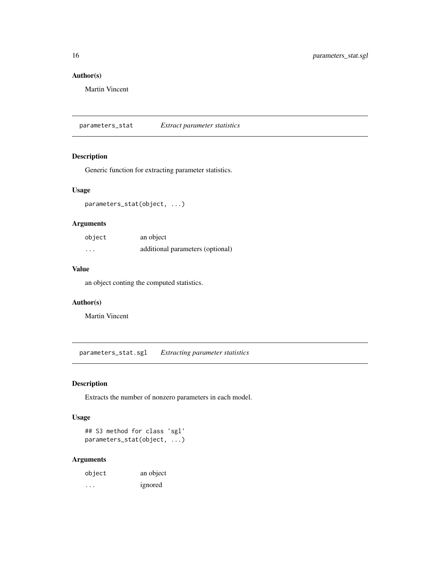#### Author(s)

Martin Vincent

parameters\_stat *Extract parameter statistics*

#### Description

Generic function for extracting parameter statistics.

#### Usage

parameters\_stat(object, ...)

#### Arguments

| object   | an object                        |
|----------|----------------------------------|
| $\cdots$ | additional parameters (optional) |

#### Value

an object conting the computed statistics.

#### Author(s)

Martin Vincent

parameters\_stat.sgl *Extracting parameter statistics*

## Description

Extracts the number of nonzero parameters in each model.

#### Usage

```
## S3 method for class 'sgl'
parameters_stat(object, ...)
```

| object | an object |
|--------|-----------|
| .      | ignored   |

<span id="page-15-0"></span>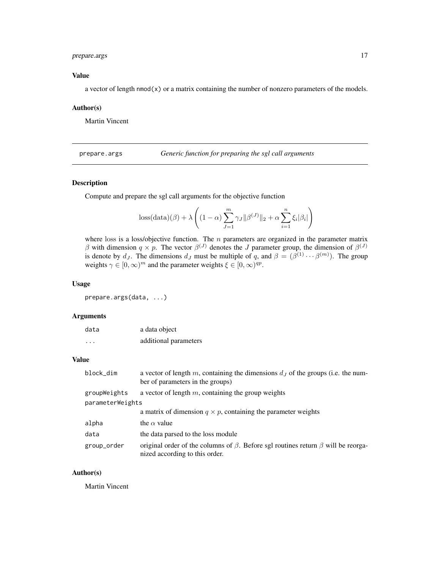#### <span id="page-16-0"></span>prepare.args 17

### Value

a vector of length  $\text{nmod}(x)$  or a matrix containing the number of nonzero parameters of the models.

#### Author(s)

Martin Vincent

<span id="page-16-1"></span>prepare.args *Generic function for preparing the sgl call arguments*

#### Description

Compute and prepare the sgl call arguments for the objective function

$$
\text{loss}(\text{data})(\beta) + \lambda \left( (1 - \alpha) \sum_{J=1}^{m} \gamma_J ||\beta^{(J)}||_2 + \alpha \sum_{i=1}^{n} \xi_i |\beta_i| \right)
$$

where loss is a loss/objective function. The  $n$  parameters are organized in the parameter matrix β with dimension  $q \times p$ . The vector  $\beta^{(J)}$  denotes the J parameter group, the dimension of  $\beta^{(J)}$ is denote by  $d_J$ . The dimensions  $d_J$  must be multiple of q, and  $\beta = (\beta^{(1)} \cdots \beta^{(m)})$ . The group weights  $\gamma \in [0, \infty)^m$  and the parameter weights  $\xi \in [0, \infty)^{qp}$ .

#### Usage

prepare.args(data, ...)

#### Arguments

| data    | a data object         |
|---------|-----------------------|
| $\cdot$ | additional parameters |

#### Value

| block_dim        | a vector of length m, containing the dimensions $dJ$ of the groups (i.e. the num-<br>ber of parameters in the groups)           |
|------------------|---------------------------------------------------------------------------------------------------------------------------------|
| groupWeights     | a vector of length $m$ , containing the group weights                                                                           |
| parameterWeights |                                                                                                                                 |
|                  | a matrix of dimension $q \times p$ , containing the parameter weights                                                           |
| alpha            | the $\alpha$ value                                                                                                              |
| data             | the data parsed to the loss module                                                                                              |
| group_order      | original order of the columns of $\beta$ . Before sgl routines return $\beta$ will be reorga-<br>nized according to this order. |

#### Author(s)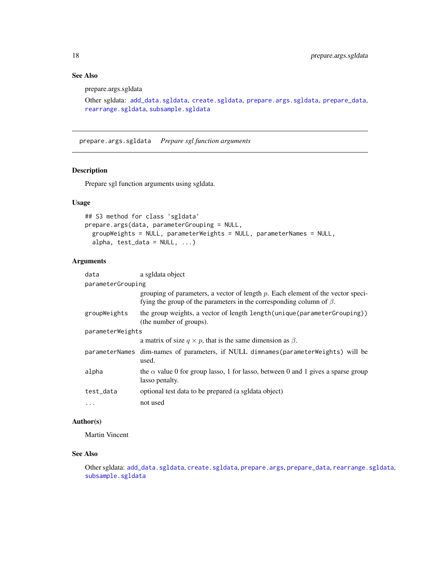## See Also

prepare.args.sgldata

```
Other sgldata: add_data.sgldata, create.sgldata, prepare.args.sgldata, prepare_data,
rearrange.sgldata, subsample.sgldata
```
<span id="page-17-1"></span>prepare.args.sgldata *Prepare sgl function arguments*

#### Description

Prepare sgl function arguments using sgldata.

#### Usage

```
## S3 method for class 'sgldata'
prepare.args(data, parameterGrouping = NULL,
 groupWeights = NULL, parameterWeights = NULL, parameterNames = NULL,
 alpha, test_data = NULL, ...
```
#### Arguments

| data              | a sgldata object                                                                                                                                                 |  |
|-------------------|------------------------------------------------------------------------------------------------------------------------------------------------------------------|--|
| parameterGrouping |                                                                                                                                                                  |  |
|                   | grouping of parameters, a vector of length $p$ . Each element of the vector speci-<br>fying the group of the parameters in the corresponding column of $\beta$ . |  |
| groupWeights      | the group weights, a vector of length length (unique (parameter Grouping))<br>(the number of groups).                                                            |  |
| parameterWeights  |                                                                                                                                                                  |  |
|                   | a matrix of size $q \times p$ , that is the same dimension as $\beta$ .                                                                                          |  |
|                   | parameterNames dim-names of parameters, if NULL dimnames (parameterWeights) will be<br>used.                                                                     |  |
| alpha             | the $\alpha$ value 0 for group lasso, 1 for lasso, between 0 and 1 gives a sparse group<br>lasso penalty.                                                        |  |
| test_data         | optional test data to be prepared (a sgldata object)                                                                                                             |  |
| $\cdots$          | not used                                                                                                                                                         |  |

#### Author(s)

Martin Vincent

#### See Also

Other sgldata: [add\\_data.sgldata](#page-2-1), [create.sgldata](#page-5-1), [prepare.args](#page-16-1), [prepare\\_data](#page-18-1), [rearrange.sgldata](#page-20-1), [subsample.sgldata](#page-34-1)

<span id="page-17-0"></span>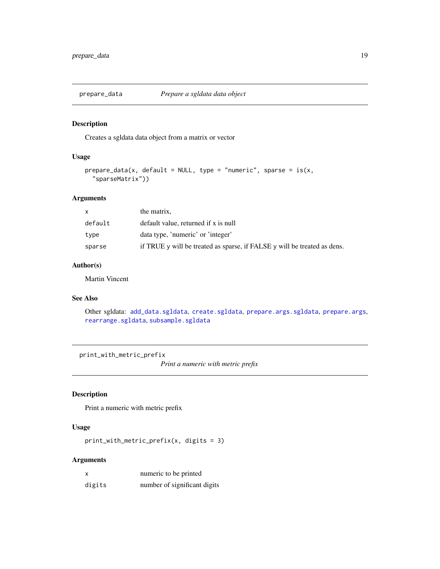<span id="page-18-1"></span><span id="page-18-0"></span>

Creates a sgldata data object from a matrix or vector

## Usage

```
prepare\_data(x, default = NULL, type = "numeric", sparse = is(x,"sparseMatrix"))
```
#### Arguments

| x.      | the matrix,                                                                        |
|---------|------------------------------------------------------------------------------------|
| default | default value, returned if x is null                                               |
| type    | data type, 'numeric' or 'integer'                                                  |
| sparse  | if TRUE $\vee$ will be treated as sparse, if FALSE $\vee$ will be treated as dens. |

### Author(s)

Martin Vincent

#### See Also

Other sgldata: [add\\_data.sgldata](#page-2-1), [create.sgldata](#page-5-1), [prepare.args.sgldata](#page-17-1), [prepare.args](#page-16-1), [rearrange.sgldata](#page-20-1), [subsample.sgldata](#page-34-1)

print\_with\_metric\_prefix

*Print a numeric with metric prefix*

#### Description

Print a numeric with metric prefix

#### Usage

print\_with\_metric\_prefix(x, digits = 3)

| X      | numeric to be printed        |
|--------|------------------------------|
| digits | number of significant digits |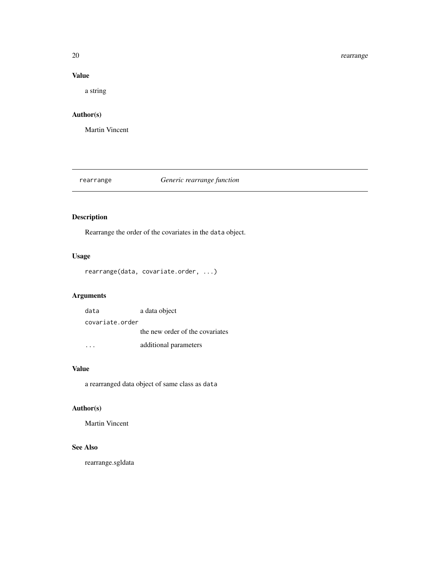#### 20 rearrange extensive to the control of the control of the control of the control of the control of the control of the control of the control of the control of the control of the control of the control of the control of t

### Value

a string

## Author(s)

Martin Vincent

## rearrange *Generic rearrange function*

#### Description

Rearrange the order of the covariates in the data object.

## Usage

```
rearrange(data, covariate.order, ...)
```
## Arguments

| data            | a data object                   |
|-----------------|---------------------------------|
| covariate.order |                                 |
|                 | the new order of the covariates |
|                 | additional parameters           |

#### Value

a rearranged data object of same class as data

### Author(s)

Martin Vincent

#### See Also

rearrange.sgldata

<span id="page-19-0"></span>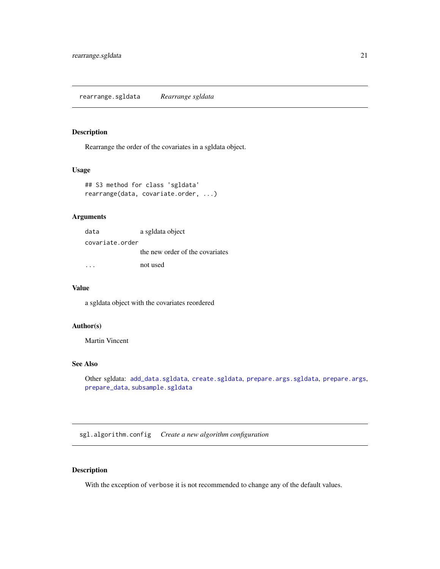<span id="page-20-1"></span><span id="page-20-0"></span>Rearrange the order of the covariates in a sgldata object.

#### Usage

```
## S3 method for class 'sgldata'
rearrange(data, covariate.order, ...)
```
#### Arguments

| data            | a sgldata object                |
|-----------------|---------------------------------|
| covariate.order |                                 |
|                 | the new order of the covariates |
|                 | not used                        |

#### Value

a sgldata object with the covariates reordered

#### Author(s)

Martin Vincent

## See Also

Other sgldata: [add\\_data.sgldata](#page-2-1), [create.sgldata](#page-5-1), [prepare.args.sgldata](#page-17-1), [prepare.args](#page-16-1), [prepare\\_data](#page-18-1), [subsample.sgldata](#page-34-1)

sgl.algorithm.config *Create a new algorithm configuration*

#### Description

With the exception of verbose it is not recommended to change any of the default values.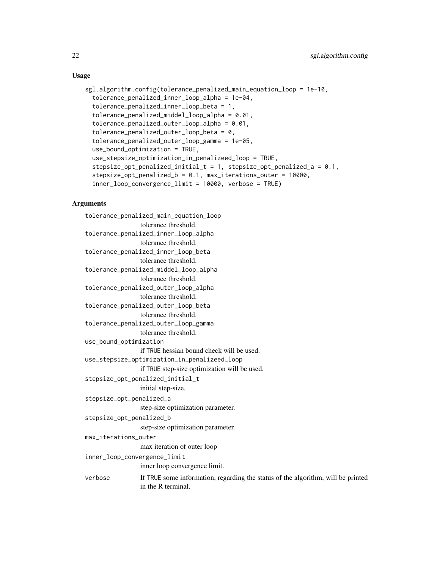#### Usage

```
sgl.algorithm.config(tolerance_penalized_main_equation_loop = 1e-10,
  tolerance_penalized_inner_loop_alpha = 1e-04,
  tolerance_penalized_inner_loop_beta = 1,
  tolerance_penalized_middel_loop_alpha = 0.01,
  tolerance_penalized_outer_loop_alpha = 0.01,
  tolerance_penalized_outer_loop_beta = 0,
  tolerance_penalized_outer_loop_gamma = 1e-05,
  use_bound_optimization = TRUE,
  use_stepsize_optimization_in_penalizeed_loop = TRUE,
  stepsize_opt_penalized_initial_t = 1, stepsize_opt_penalized_a = 0.1,
  stepsize_opt_penalized_b = 0.1, max_iterations_outer = 10000,
  inner_loop_convergence_limit = 10000, verbose = TRUE)
```

```
tolerance_penalized_main_equation_loop
                 tolerance threshold.
tolerance_penalized_inner_loop_alpha
                 tolerance threshold.
tolerance_penalized_inner_loop_beta
                 tolerance threshold.
tolerance_penalized_middel_loop_alpha
                 tolerance threshold.
tolerance_penalized_outer_loop_alpha
                 tolerance threshold.
tolerance_penalized_outer_loop_beta
                 tolerance threshold.
tolerance_penalized_outer_loop_gamma
                 tolerance threshold.
use_bound_optimization
                 if TRUE hessian bound check will be used.
use_stepsize_optimization_in_penalizeed_loop
                 if TRUE step-size optimization will be used.
stepsize_opt_penalized_initial_t
                 initial step-size.
stepsize_opt_penalized_a
                 step-size optimization parameter.
stepsize_opt_penalized_b
                 step-size optimization parameter.
max_iterations_outer
                 max iteration of outer loop
inner_loop_convergence_limit
                 inner loop convergence limit.
verbose If TRUE some information, regarding the status of the algorithm, will be printed
                 in the R terminal.
```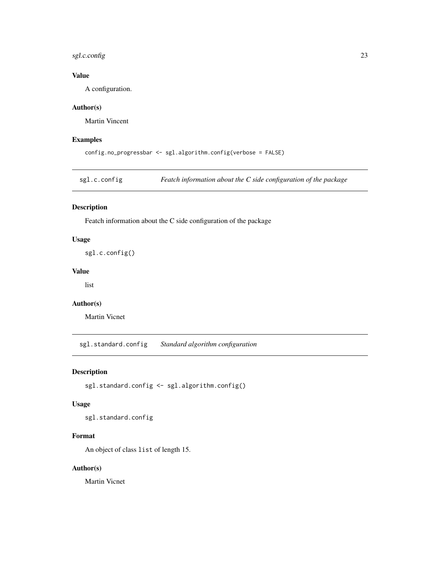#### <span id="page-22-0"></span>sgl.c.config 23

## Value

A configuration.

## Author(s)

Martin Vincent

#### Examples

```
config.no_progressbar <- sgl.algorithm.config(verbose = FALSE)
```
sgl.c.config *Featch information about the C side configuration of the package*

#### Description

Featch information about the C side configuration of the package

#### Usage

sgl.c.config()

#### Value

list

#### Author(s)

Martin Vicnet

sgl.standard.config *Standard algorithm configuration*

#### Description

```
sgl.standard.config <- sgl.algorithm.config()
```
#### Usage

sgl.standard.config

#### Format

An object of class list of length 15.

#### Author(s)

Martin Vicnet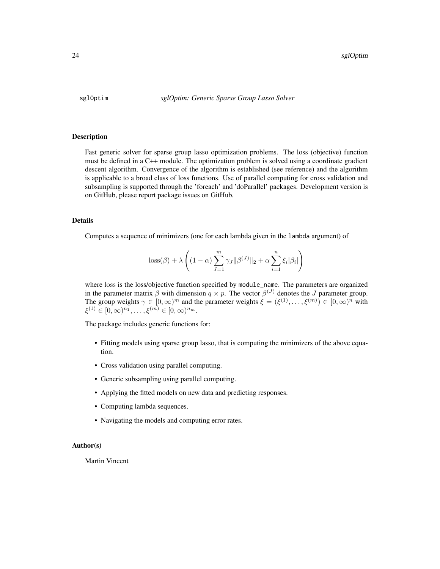<span id="page-23-0"></span>

Fast generic solver for sparse group lasso optimization problems. The loss (objective) function must be defined in a C++ module. The optimization problem is solved using a coordinate gradient descent algorithm. Convergence of the algorithm is established (see reference) and the algorithm is applicable to a broad class of loss functions. Use of parallel computing for cross validation and subsampling is supported through the 'foreach' and 'doParallel' packages. Development version is on GitHub, please report package issues on GitHub.

#### Details

Computes a sequence of minimizers (one for each lambda given in the lambda argument) of

$$
\text{loss}(\beta) + \lambda \left( (1 - \alpha) \sum_{J=1}^{m} \gamma_J ||\beta^{(J)}||_2 + \alpha \sum_{i=1}^{n} \xi_i |\beta_i| \right)
$$

where loss is the loss/objective function specified by module\_name. The parameters are organized in the parameter matrix  $\beta$  with dimension  $q \times p$ . The vector  $\beta^{(J)}$  denotes the J parameter group. The group weights  $\gamma \in [0,\infty)^m$  and the parameter weights  $\xi = (\xi^{(1)}, \ldots, \xi^{(m)}) \in [0,\infty)^n$  with  $\xi^{(1)} \in [0, \infty)^{n_1}, \ldots, \xi^{(m)} \in [0, \infty)^{n_m}.$ 

The package includes generic functions for:

- Fitting models using sparse group lasso, that is computing the minimizers of the above equation.
- Cross validation using parallel computing.
- Generic subsampling using parallel computing.
- Applying the fitted models on new data and predicting responses.
- Computing lambda sequences.
- Navigating the models and computing error rates.

#### Author(s)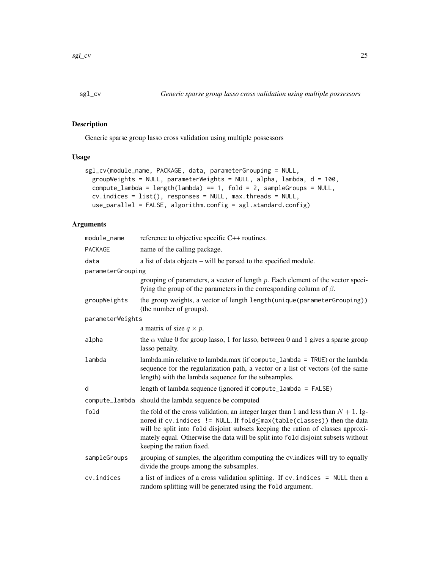<span id="page-24-0"></span>

Generic sparse group lasso cross validation using multiple possessors

#### Usage

```
sgl_cv(module_name, PACKAGE, data, parameterGrouping = NULL,
 groupWeights = NULL, parameterWeights = NULL, alpha, lambda, d = 100,
 compute\_lambda = length(lambda) == 1, fold = 2, sampleGroups = NULL,cv.indices = list(), responses = NULL, max.threads = NULL,
 use_parallel = FALSE, algorithm.config = sgl.standard.config)
```

| module_name       | reference to objective specific C++ routines.                                                                                                                                                                                                                                                                                                                             |
|-------------------|---------------------------------------------------------------------------------------------------------------------------------------------------------------------------------------------------------------------------------------------------------------------------------------------------------------------------------------------------------------------------|
| PACKAGE           | name of the calling package.                                                                                                                                                                                                                                                                                                                                              |
| data              | a list of data objects – will be parsed to the specified module.                                                                                                                                                                                                                                                                                                          |
| parameterGrouping |                                                                                                                                                                                                                                                                                                                                                                           |
|                   | grouping of parameters, a vector of length $p$ . Each element of the vector speci-<br>fying the group of the parameters in the corresponding column of $\beta$ .                                                                                                                                                                                                          |
| groupWeights      | the group weights, a vector of length length (unique (parameter Grouping))<br>(the number of groups).                                                                                                                                                                                                                                                                     |
| parameterWeights  |                                                                                                                                                                                                                                                                                                                                                                           |
|                   | a matrix of size $q \times p$ .                                                                                                                                                                                                                                                                                                                                           |
| alpha             | the $\alpha$ value 0 for group lasso, 1 for lasso, between 0 and 1 gives a sparse group<br>lasso penalty.                                                                                                                                                                                                                                                                 |
| lambda            | lambda.min relative to lambda.max (if compute_lambda = TRUE) or the lambda<br>sequence for the regularization path, a vector or a list of vectors (of the same<br>length) with the lambda sequence for the subsamples.                                                                                                                                                    |
| d                 | length of lambda sequence (ignored if compute_lambda = FALSE)                                                                                                                                                                                                                                                                                                             |
|                   | compute_lambda should the lambda sequence be computed                                                                                                                                                                                                                                                                                                                     |
| fold              | the fold of the cross validation, an integer larger than 1 and less than $N + 1$ . Ig-<br>nored if cv. indices != NULL. If fold ≤max (table (classes)) then the data<br>will be split into fold disjoint subsets keeping the ration of classes approxi-<br>mately equal. Otherwise the data will be split into fold disjoint subsets without<br>keeping the ration fixed. |
| sampleGroups      | grouping of samples, the algorithm computing the cv.indices will try to equally<br>divide the groups among the subsamples.                                                                                                                                                                                                                                                |
| cv.indices        | a list of indices of a cross validation splitting. If cv. indices = NULL then a<br>random splitting will be generated using the fold argument.                                                                                                                                                                                                                            |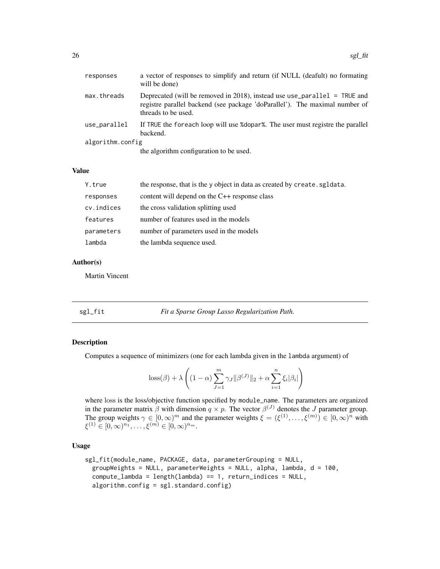<span id="page-25-0"></span>

| responses        | a vector of responses to simplify and return (if NULL (deafult) no formating<br>will be done)                                                                                   |
|------------------|---------------------------------------------------------------------------------------------------------------------------------------------------------------------------------|
| max.threads      | Deprecated (will be removed in 2018), instead use use_parallel = TRUE and<br>registre parallel backend (see package 'doParallel'). The maximal number of<br>threads to be used. |
| use_parallel     | If TRUE the foreach loop will use % dopar%. The user must registre the parallel<br>backend.                                                                                     |
| algorithm.config |                                                                                                                                                                                 |
|                  | the algorithm configuration to be used.                                                                                                                                         |
|                  |                                                                                                                                                                                 |

#### Value

| Y.true     | the response, that is the y object in data as created by create. sgldata. |
|------------|---------------------------------------------------------------------------|
| responses  | content will depend on the $C++$ response class                           |
| cv.indices | the cross validation splitting used                                       |
| features   | number of features used in the models                                     |
| parameters | number of parameters used in the models                                   |
| lambda     | the lambda sequence used.                                                 |

#### Author(s)

Martin Vincent

sgl\_fit *Fit a Sparse Group Lasso Regularization Path.*

#### Description

Computes a sequence of minimizers (one for each lambda given in the lambda argument) of

$$
\text{loss}(\beta) + \lambda \left( (1 - \alpha) \sum_{J=1}^{m} \gamma_J ||\beta^{(J)}||_2 + \alpha \sum_{i=1}^{n} \xi_i |\beta_i| \right)
$$

where loss is the loss/objective function specified by module\_name. The parameters are organized in the parameter matrix  $\beta$  with dimension  $q \times p$ . The vector  $\beta^{(J)}$  denotes the J parameter group. The group weights  $\gamma \in [0,\infty)^m$  and the parameter weights  $\xi = (\xi^{(1)}, \ldots, \xi^{(m)}) \in [0,\infty)^n$  with  $\xi^{(1)} \in [0, \infty)^{n_1}, \ldots, \xi^{(m)} \in [0, \infty)^{n_m}.$ 

#### Usage

```
sgl_fit(module_name, PACKAGE, data, parameterGrouping = NULL,
 groupWeights = NULL, parameterWeights = NULL, alpha, lambda, d = 100,
 compute_lambda = length(lambda) == 1, return_indices = NULL,
  algorithm.config = sgl.standard.config)
```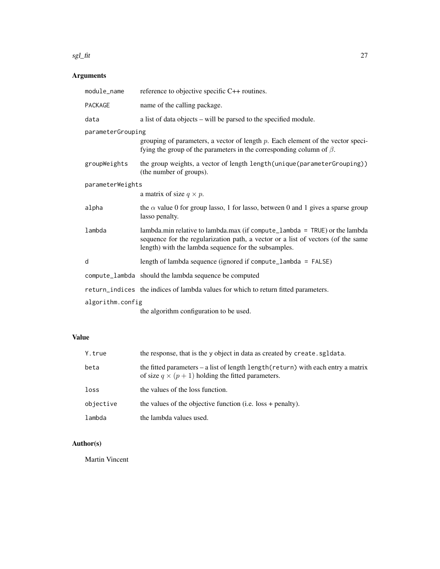#### sgl\_fit 27

## Arguments

| module_name       | reference to objective specific C++ routines.                                                                                                                                                                             |  |
|-------------------|---------------------------------------------------------------------------------------------------------------------------------------------------------------------------------------------------------------------------|--|
| <b>PACKAGE</b>    | name of the calling package.                                                                                                                                                                                              |  |
| data              | a list of data objects – will be parsed to the specified module.                                                                                                                                                          |  |
| parameterGrouping |                                                                                                                                                                                                                           |  |
|                   | grouping of parameters, a vector of length $p$ . Each element of the vector speci-<br>fying the group of the parameters in the corresponding column of $\beta$ .                                                          |  |
| groupWeights      | the group weights, a vector of length length (unique (parameter Grouping))<br>(the number of groups).                                                                                                                     |  |
| parameterWeights  |                                                                                                                                                                                                                           |  |
|                   | a matrix of size $q \times p$ .                                                                                                                                                                                           |  |
| alpha             | the $\alpha$ value 0 for group lasso, 1 for lasso, between 0 and 1 gives a sparse group<br>lasso penalty.                                                                                                                 |  |
| lambda            | lambda.min relative to lambda.max (if compute_lambda = $TRUE$ ) or the lambda<br>sequence for the regularization path, a vector or a list of vectors (of the same<br>length) with the lambda sequence for the subsamples. |  |
| d                 | length of lambda sequence (ignored if compute_lambda = $FALSE$ )                                                                                                                                                          |  |
|                   | compute_lambda should the lambda sequence be computed                                                                                                                                                                     |  |
|                   | return_indices the indices of lambda values for which to return fitted parameters.                                                                                                                                        |  |
| algorithm.config  |                                                                                                                                                                                                                           |  |
|                   | the algorithm configuration to be used.                                                                                                                                                                                   |  |

## Value

| Y.true    | the response, that is the y object in data as created by create. sgldata.                                                                      |
|-----------|------------------------------------------------------------------------------------------------------------------------------------------------|
| beta      | the fitted parameters $-$ a list of length length (return) with each entry a matrix<br>of size $q \times (p+1)$ holding the fitted parameters. |
| loss      | the values of the loss function.                                                                                                               |
| objective | the values of the objective function (i.e. $loss + penalty$ ).                                                                                 |
| lambda    | the lambda values used.                                                                                                                        |

## Author(s)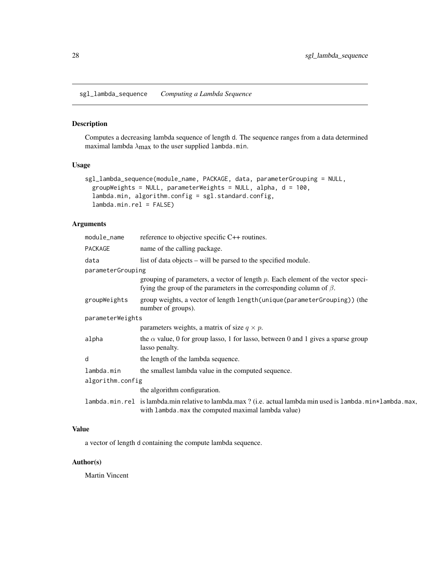<span id="page-27-0"></span>sgl\_lambda\_sequence *Computing a Lambda Sequence*

#### Description

Computes a decreasing lambda sequence of length d. The sequence ranges from a data determined maximal lambda  $\lambda_{\text{max}}$  to the user supplied lambda.min.

#### Usage

```
sgl_lambda_sequence(module_name, PACKAGE, data, parameterGrouping = NULL,
 groupWeights = NULL, parameterWeights = NULL, alpha, d = 100,
 lambda.min, algorithm.config = sgl.standard.config,
 lambda.min.rel = FALSE)
```
#### Arguments

| module_name       | reference to objective specific C++ routines.                                                                                                                    |  |
|-------------------|------------------------------------------------------------------------------------------------------------------------------------------------------------------|--|
| PACKAGE           | name of the calling package.                                                                                                                                     |  |
| data              | list of data objects – will be parsed to the specified module.                                                                                                   |  |
| parameterGrouping |                                                                                                                                                                  |  |
|                   | grouping of parameters, a vector of length $p$ . Each element of the vector speci-<br>fying the group of the parameters in the corresponding column of $\beta$ . |  |
| groupWeights      | group weights, a vector of length length (unique (parameter Grouping)) (the<br>number of groups).                                                                |  |
| parameterWeights  |                                                                                                                                                                  |  |
|                   | parameters weights, a matrix of size $q \times p$ .                                                                                                              |  |
| alpha             | the $\alpha$ value, 0 for group lasso, 1 for lasso, between 0 and 1 gives a sparse group<br>lasso penalty.                                                       |  |
| d                 | the length of the lambda sequence.                                                                                                                               |  |
| lambda.min        | the smallest lambda value in the computed sequence.                                                                                                              |  |
| algorithm.config  |                                                                                                                                                                  |  |
|                   | the algorithm configuration.                                                                                                                                     |  |
|                   | lambda.min.rel islambda.min relative to lambda.max? (i.e. actual lambda min used islambda.min*lambda.max,<br>with lambda. max the computed maximal lambda value) |  |

## Value

a vector of length d containing the compute lambda sequence.

## Author(s)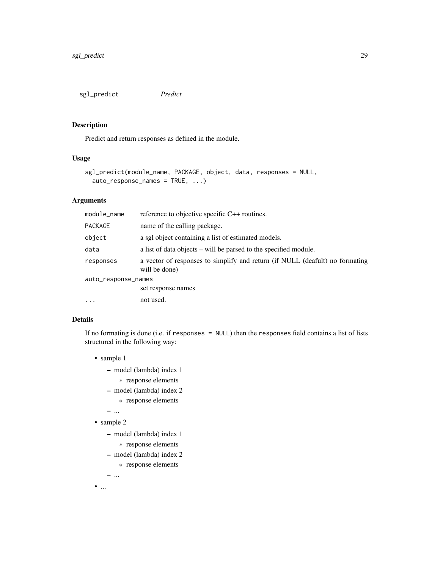<span id="page-28-0"></span>sgl\_predict *Predict*

#### Description

Predict and return responses as defined in the module.

## Usage

```
sgl_predict(module_name, PACKAGE, object, data, responses = NULL,
 auto_response_names = TRUE, ...)
```
#### Arguments

| module_name         | reference to objective specific C++ routines.                                                 |
|---------------------|-----------------------------------------------------------------------------------------------|
| PACKAGE             | name of the calling package.                                                                  |
| object              | a sgl object containing a list of estimated models.                                           |
| data                | a list of data objects – will be parsed to the specified module.                              |
| responses           | a vector of responses to simplify and return (if NULL (deafult) no formating<br>will be done) |
| auto_response_names |                                                                                               |
|                     | set response names                                                                            |
| $\ddotsc$           | not used.                                                                                     |

### Details

If no formating is done (i.e. if responses = NULL) then the responses field contains a list of lists structured in the following way:

- sample 1
	- model (lambda) index 1
		- \* response elements
	- model (lambda) index 2
	- \* response elements
	- ...
- sample 2
	- model (lambda) index 1
		- \* response elements
	- model (lambda) index 2
		- \* response elements

– ...  $\bullet$  ...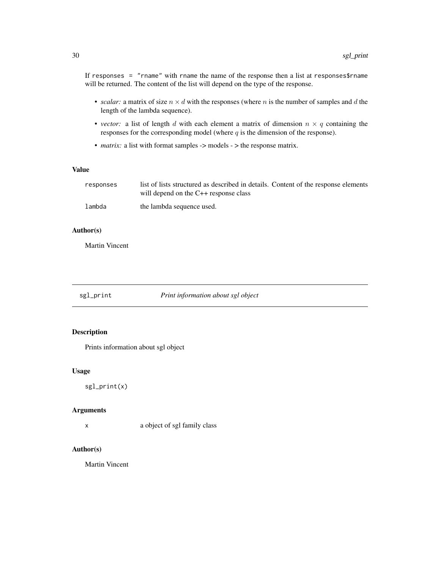<span id="page-29-0"></span>If responses = "rname" with rname the name of the response then a list at responses\$rname will be returned. The content of the list will depend on the type of the response.

- *scalar:* a matrix of size  $n \times d$  with the responses (where n is the number of samples and d the length of the lambda sequence).
- *vector*: a list of length d with each element a matrix of dimension  $n \times q$  containing the responses for the corresponding model (where  $q$  is the dimension of the response).
- *matrix:* a list with format samples -> models -> the response matrix.

#### Value

| responses | list of lists structured as described in details. Content of the response elements |
|-----------|------------------------------------------------------------------------------------|
|           | will depend on the $C_{++}$ response class                                         |
| lambda    | the lambda sequence used.                                                          |

#### Author(s)

Martin Vincent

sgl\_print *Print information about sgl object*

#### Description

Prints information about sgl object

#### Usage

sgl\_print(x)

#### Arguments

x a object of sgl family class

#### Author(s)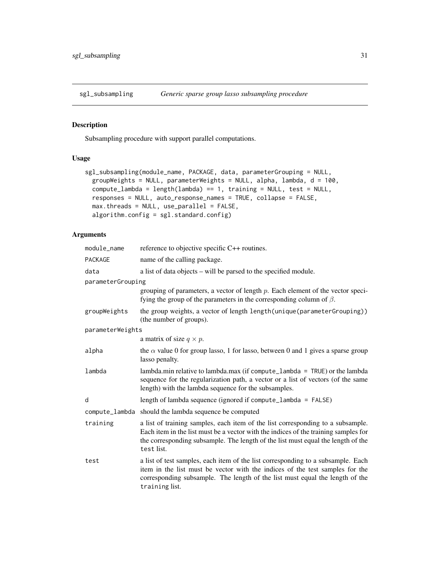<span id="page-30-0"></span>

Subsampling procedure with support parallel computations.

## Usage

```
sgl_subsampling(module_name, PACKAGE, data, parameterGrouping = NULL,
 groupWeights = NULL, parameterWeights = NULL, alpha, lambda, d = 100,
 compute_lambda = length(lambda) == 1, training = NULL, test = NULL,
 responses = NULL, auto_response_names = TRUE, collapse = FALSE,
 max.threads = NULL, use_parallel = FALSE,
 algorithm.config = sgl.standard.config)
```

| module_name       | reference to objective specific C++ routines.                                                                                                                                                                                                                            |
|-------------------|--------------------------------------------------------------------------------------------------------------------------------------------------------------------------------------------------------------------------------------------------------------------------|
| PACKAGE           | name of the calling package.                                                                                                                                                                                                                                             |
| data              | a list of data objects – will be parsed to the specified module.                                                                                                                                                                                                         |
| parameterGrouping |                                                                                                                                                                                                                                                                          |
|                   | grouping of parameters, a vector of length $p$ . Each element of the vector speci-<br>fying the group of the parameters in the corresponding column of $\beta$ .                                                                                                         |
| groupWeights      | the group weights, a vector of length length (unique (parameter Grouping))<br>(the number of groups).                                                                                                                                                                    |
| parameterWeights  |                                                                                                                                                                                                                                                                          |
|                   | a matrix of size $q \times p$ .                                                                                                                                                                                                                                          |
| alpha             | the $\alpha$ value 0 for group lasso, 1 for lasso, between 0 and 1 gives a sparse group<br>lasso penalty.                                                                                                                                                                |
| lambda            | lambda.min relative to lambda.max (if compute_lambda = $TRUE$ ) or the lambda<br>sequence for the regularization path, a vector or a list of vectors (of the same<br>length) with the lambda sequence for the subsamples.                                                |
| d                 | length of lambda sequence (ignored if compute_lambda = $FALSE$ )                                                                                                                                                                                                         |
| compute_lambda    | should the lambda sequence be computed                                                                                                                                                                                                                                   |
| training          | a list of training samples, each item of the list corresponding to a subsample.<br>Each item in the list must be a vector with the indices of the training samples for<br>the corresponding subsample. The length of the list must equal the length of the<br>test list. |
| test              | a list of test samples, each item of the list corresponding to a subsample. Each<br>item in the list must be vector with the indices of the test samples for the<br>corresponding subsample. The length of the list must equal the length of the<br>training list.       |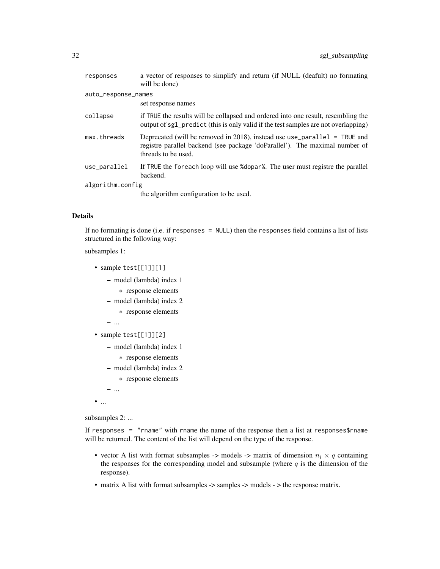| responses           | a vector of responses to simplify and return (if NULL (deafult) no formating<br>will be done)                                                                                     |
|---------------------|-----------------------------------------------------------------------------------------------------------------------------------------------------------------------------------|
| auto_response_names |                                                                                                                                                                                   |
|                     | set response names                                                                                                                                                                |
| collapse            | if TRUE the results will be collapsed and ordered into one result, resembling the<br>output of sg1_predict (this is only valid if the test samples are not overlapping)           |
| max.threads         | Deprecated (will be removed in 2018), instead use use parallel $=$ TRUE and<br>registre parallel backend (see package 'doParallel'). The maximal number of<br>threads to be used. |
| use_parallel        | If TRUE the foreach loop will use % dopar%. The user must registre the parallel<br>backend.                                                                                       |
| algorithm.config    |                                                                                                                                                                                   |
|                     | the algorithm configuration to be used.                                                                                                                                           |

#### Details

If no formating is done (i.e. if responses = NULL) then the responses field contains a list of lists structured in the following way:

subsamples 1:

- sample test[[1]][1]
	- model (lambda) index 1
		- \* response elements
	- model (lambda) index 2
		- \* response elements
	- ...
- sample test[[1]][2]
	- model (lambda) index 1
		- \* response elements
	- model (lambda) index 2
		- \* response elements
- ...
- $\bullet$   $\ldots$

subsamples 2: ...

If responses = "rname" with rname the name of the response then a list at responses\$rname will be returned. The content of the list will depend on the type of the response.

- vector A list with format subsamples -> models -> matrix of dimension  $n_i \times q$  containing the responses for the corresponding model and subsample (where  $q$  is the dimension of the response).
- matrix A list with format subsamples -> samples -> models -> the response matrix.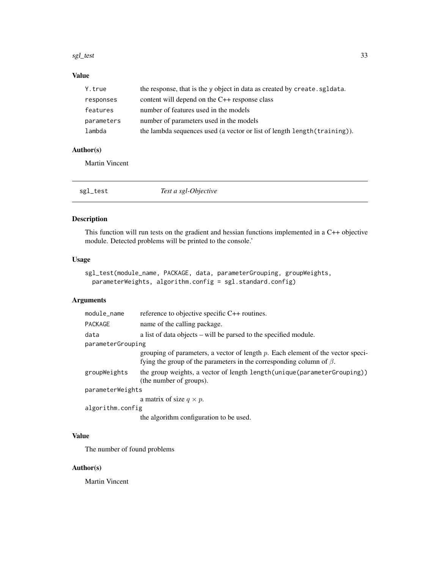#### <span id="page-32-0"></span>sgl\_test 33

## Value

| Y.true     | the response, that is the y object in data as created by create. sgldata. |
|------------|---------------------------------------------------------------------------|
| responses  | content will depend on the $C++$ response class                           |
| features   | number of features used in the models                                     |
| parameters | number of parameters used in the models                                   |
| lambda     | the lambda sequences used (a vector or list of length length (training)). |

#### Author(s)

Martin Vincent

| sgl_test | Test a sgl-Objective |
|----------|----------------------|
|----------|----------------------|

## Description

This function will run tests on the gradient and hessian functions implemented in a C++ objective module. Detected problems will be printed to the console.'

#### Usage

```
sgl_test(module_name, PACKAGE, data, parameterGrouping, groupWeights,
 parameterWeights, algorithm.config = sgl.standard.config)
```
## Arguments

| module_name       | reference to objective specific C++ routines.                                                                                                                    |  |
|-------------------|------------------------------------------------------------------------------------------------------------------------------------------------------------------|--|
| <b>PACKAGE</b>    | name of the calling package.                                                                                                                                     |  |
| data              | a list of data objects – will be parsed to the specified module.                                                                                                 |  |
| parameterGrouping |                                                                                                                                                                  |  |
|                   | grouping of parameters, a vector of length $p$ . Each element of the vector speci-<br>fying the group of the parameters in the corresponding column of $\beta$ . |  |
| groupWeights      | the group weights, a vector of length length (unique (parameter Grouping))<br>(the number of groups).                                                            |  |
| parameterWeights  |                                                                                                                                                                  |  |
|                   | a matrix of size $q \times p$ .                                                                                                                                  |  |
| algorithm.config  |                                                                                                                                                                  |  |
|                   |                                                                                                                                                                  |  |

the algorithm configuration to be used.

## Value

The number of found problems

#### Author(s)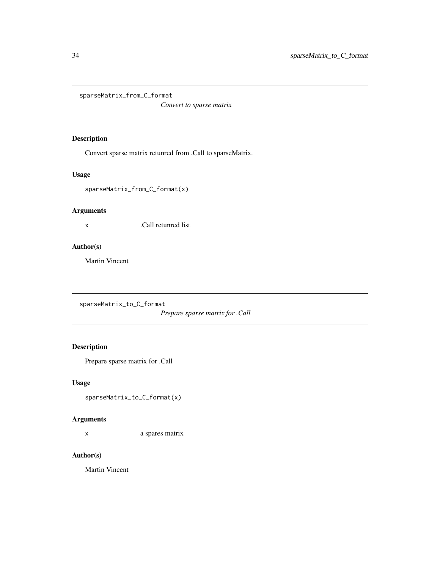<span id="page-33-0"></span>sparseMatrix\_from\_C\_format

*Convert to sparse matrix*

## Description

Convert sparse matrix retunred from .Call to sparseMatrix.

## Usage

sparseMatrix\_from\_C\_format(x)

#### Arguments

x .Call retunred list

#### Author(s)

Martin Vincent

sparseMatrix\_to\_C\_format

*Prepare sparse matrix for .Call*

#### Description

Prepare sparse matrix for .Call

#### Usage

```
sparseMatrix_to_C_format(x)
```
#### Arguments

x a spares matrix

#### Author(s)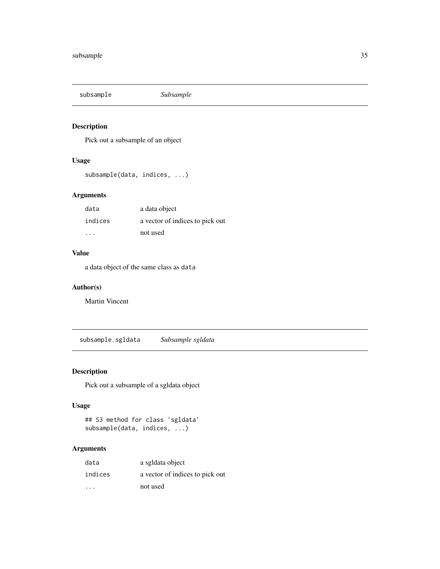<span id="page-34-0"></span>

Pick out a subsample of an object

#### Usage

subsample(data, indices, ...)

## Arguments

| data    | a data object                   |
|---------|---------------------------------|
| indices | a vector of indices to pick out |
| .       | not used                        |

## Value

a data object of the same class as data

#### Author(s)

Martin Vincent

<span id="page-34-1"></span>subsample.sgldata *Subsample sgldata*

## Description

Pick out a subsample of a sgldata object

#### Usage

```
## S3 method for class 'sgldata'
subsample(data, indices, ...)
```

| data    | a sgldata object                |
|---------|---------------------------------|
| indices | a vector of indices to pick out |
| .       | not used                        |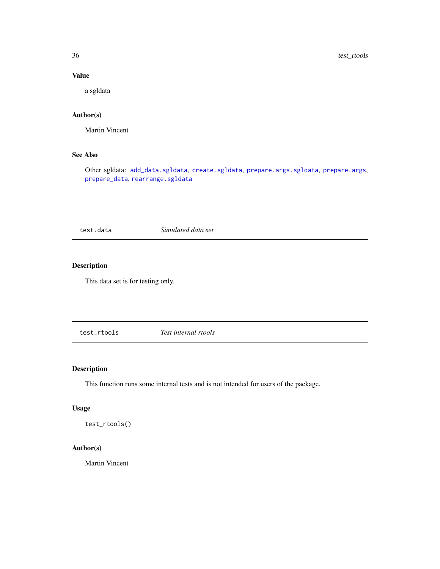<span id="page-35-0"></span>36 test\_rtools

#### Value

a sgldata

## Author(s)

Martin Vincent

## See Also

Other sgldata: [add\\_data.sgldata](#page-2-1), [create.sgldata](#page-5-1), [prepare.args.sgldata](#page-17-1), [prepare.args](#page-16-1), [prepare\\_data](#page-18-1), [rearrange.sgldata](#page-20-1)

test.data *Simulated data set*

## Description

This data set is for testing only.

test\_rtools *Test internal rtools*

## Description

This function runs some internal tests and is not intended for users of the package.

#### Usage

test\_rtools()

#### Author(s)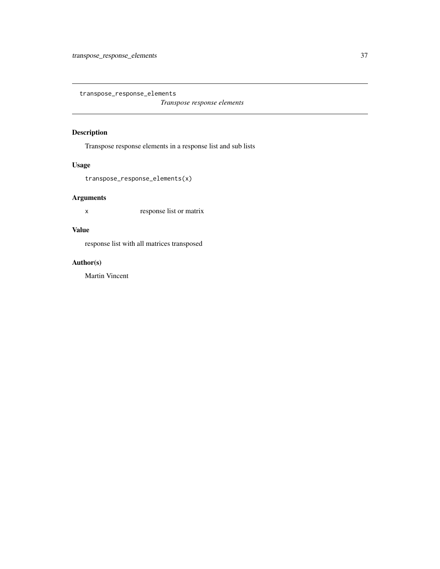<span id="page-36-0"></span>transpose\_response\_elements

*Transpose response elements*

#### Description

Transpose response elements in a response list and sub lists

#### Usage

transpose\_response\_elements(x)

## Arguments

x response list or matrix

## Value

response list with all matrices transposed

## Author(s)